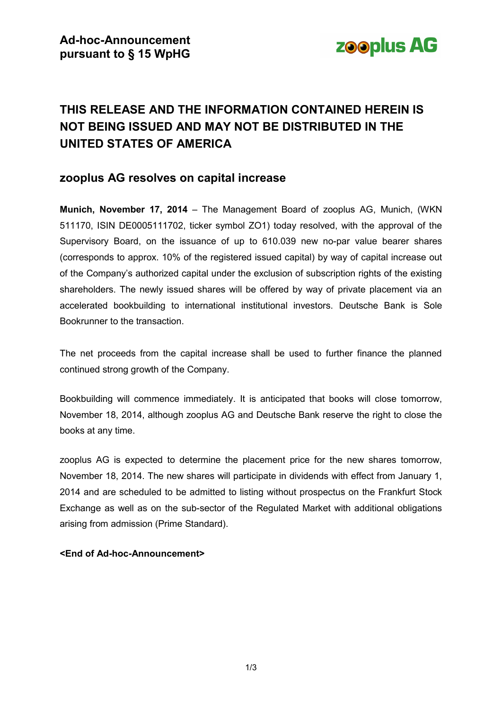

# **THIS RELEASE AND THE INFORMATION CONTAINED HEREIN IS NOT BEING ISSUED AND MAY NOT BE DISTRIBUTED IN THE UNITED STATES OF AMERICA**

## **zooplus AG resolves on capital increase**

**Munich, November 17, 2014** – The Management Board of zooplus AG, Munich, (WKN 511170, ISIN DE0005111702, ticker symbol ZO1) today resolved, with the approval of the Supervisory Board, on the issuance of up to 610.039 new no-par value bearer shares (corresponds to approx. 10% of the registered issued capital) by way of capital increase out of the Company's authorized capital under the exclusion of subscription rights of the existing shareholders. The newly issued shares will be offered by way of private placement via an accelerated bookbuilding to international institutional investors. Deutsche Bank is Sole Bookrunner to the transaction.

The net proceeds from the capital increase shall be used to further finance the planned continued strong growth of the Company.

Bookbuilding will commence immediately. It is anticipated that books will close tomorrow, November 18, 2014, although zooplus AG and Deutsche Bank reserve the right to close the books at any time.

zooplus AG is expected to determine the placement price for the new shares tomorrow, November 18, 2014. The new shares will participate in dividends with effect from January 1, 2014 and are scheduled to be admitted to listing without prospectus on the Frankfurt Stock Exchange as well as on the sub-sector of the Regulated Market with additional obligations arising from admission (Prime Standard).

#### **<End of Ad-hoc-Announcement>**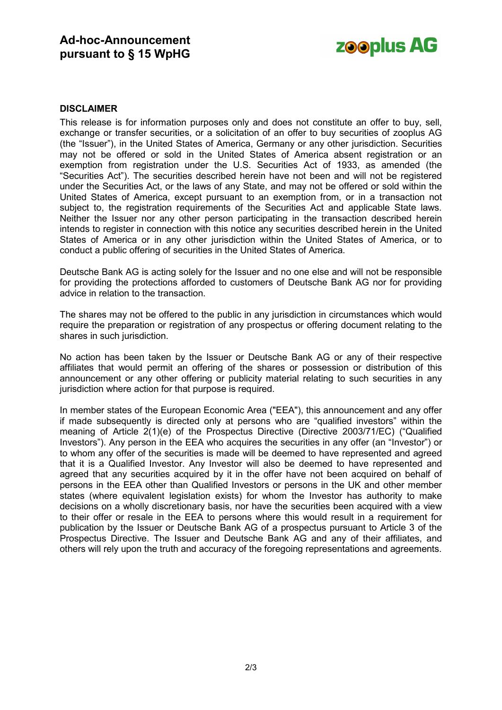

#### **DISCLAIMER**

This release is for information purposes only and does not constitute an offer to buy, sell, exchange or transfer securities, or a solicitation of an offer to buy securities of zooplus AG (the "Issuer"), in the United States of America, Germany or any other jurisdiction. Securities may not be offered or sold in the United States of America absent registration or an exemption from registration under the U.S. Securities Act of 1933, as amended (the "Securities Act"). The securities described herein have not been and will not be registered under the Securities Act, or the laws of any State, and may not be offered or sold within the United States of America, except pursuant to an exemption from, or in a transaction not subject to, the registration requirements of the Securities Act and applicable State laws. Neither the Issuer nor any other person participating in the transaction described herein intends to register in connection with this notice any securities described herein in the United States of America or in any other jurisdiction within the United States of America, or to conduct a public offering of securities in the United States of America.

Deutsche Bank AG is acting solely for the Issuer and no one else and will not be responsible for providing the protections afforded to customers of Deutsche Bank AG nor for providing advice in relation to the transaction.

The shares may not be offered to the public in any jurisdiction in circumstances which would require the preparation or registration of any prospectus or offering document relating to the shares in such jurisdiction.

No action has been taken by the Issuer or Deutsche Bank AG or any of their respective affiliates that would permit an offering of the shares or possession or distribution of this announcement or any other offering or publicity material relating to such securities in any jurisdiction where action for that purpose is required.

In member states of the European Economic Area ("EEA"), this announcement and any offer if made subsequently is directed only at persons who are "qualified investors" within the meaning of Article 2(1)(e) of the Prospectus Directive (Directive 2003/71/EC) ("Qualified Investors"). Any person in the EEA who acquires the securities in any offer (an "Investor") or to whom any offer of the securities is made will be deemed to have represented and agreed that it is a Qualified Investor. Any Investor will also be deemed to have represented and agreed that any securities acquired by it in the offer have not been acquired on behalf of persons in the EEA other than Qualified Investors or persons in the UK and other member states (where equivalent legislation exists) for whom the Investor has authority to make decisions on a wholly discretionary basis, nor have the securities been acquired with a view to their offer or resale in the EEA to persons where this would result in a requirement for publication by the Issuer or Deutsche Bank AG of a prospectus pursuant to Article 3 of the Prospectus Directive. The Issuer and Deutsche Bank AG and any of their affiliates, and others will rely upon the truth and accuracy of the foregoing representations and agreements.